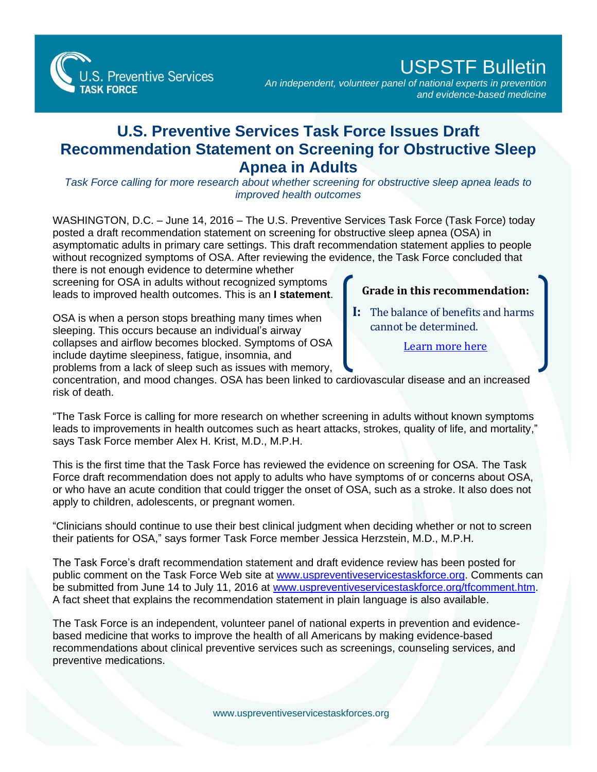

## USPSTF Bulletin

*An independent, volunteer panel of national experts in prevention and evidence-based medicine*

## **U.S. Preventive Services Task Force Issues Draft Recommendation Statement on Screening for Obstructive Sleep Apnea in Adults**

*Task Force calling for more research about whether screening for obstructive sleep apnea leads to improved health outcomes*

WASHINGTON, D.C. - June 14, 2016 - The U.S. Preventive Services Task Force (Task Force) today posted a draft recommendation statement on screening for obstructive sleep apnea (OSA) in asymptomatic adults in primary care settings. This draft recommendation statement applies to people without recognized symptoms of OSA. After reviewing the evidence, the Task Force concluded that there is not enough evidence to determine whether

screening for OSA in adults without recognized symptoms leads to improved health outcomes. This is an **I statement**.

OSA is when a person stops breathing many times when sleeping. This occurs because an individual's airway collapses and airflow becomes blocked. Symptoms of OSA include daytime sleepiness, fatigue, insomnia, and problems from a lack of sleep such as issues with memory,

## **Grade in this recommendation:**

**I:** The balance of benefits and harms cannot be determined.

[Learn more here](http://www.uspreventiveservicestaskforce.org/Page/Name/grade-definitions)

concentration, and mood changes. OSA has been linked to cardiovascular disease and an increased risk of death.

"The Task Force is calling for more research on whether screening in adults without known symptoms leads to improvements in health outcomes such as heart attacks, strokes, quality of life, and mortality," says Task Force member Alex H. Krist, M.D., M.P.H.

This is the first time that the Task Force has reviewed the evidence on screening for OSA. The Task Force draft recommendation does not apply to adults who have symptoms of or concerns about OSA, or who have an acute condition that could trigger the onset of OSA, such as a stroke. It also does not apply to children, adolescents, or pregnant women.

"Clinicians should continue to use their best clinical judgment when deciding whether or not to screen their patients for OSA," says former Task Force member Jessica Herzstein, M.D., M.P.H.

The Task Force's draft recommendation statement and draft evidence review has been posted for public comment on the Task Force Web site at [www.uspreventiveservicestaskforce.org.](http://www.uspreventiveservicestaskforce.org/) Comments can be submitted from June 14 to July 11, 2016 at [www.uspreventiveservicestaskforce.org/tfcomment.htm.](http://www.uspreventiveservicestaskforce.org/tfcomment.htm) A fact sheet that explains the recommendation statement in plain language is also available.

The Task Force is an independent, volunteer panel of national experts in prevention and evidencebased medicine that works to improve the health of all Americans by making evidence-based recommendations about clinical preventive services such as screenings, counseling services, and preventive medications.